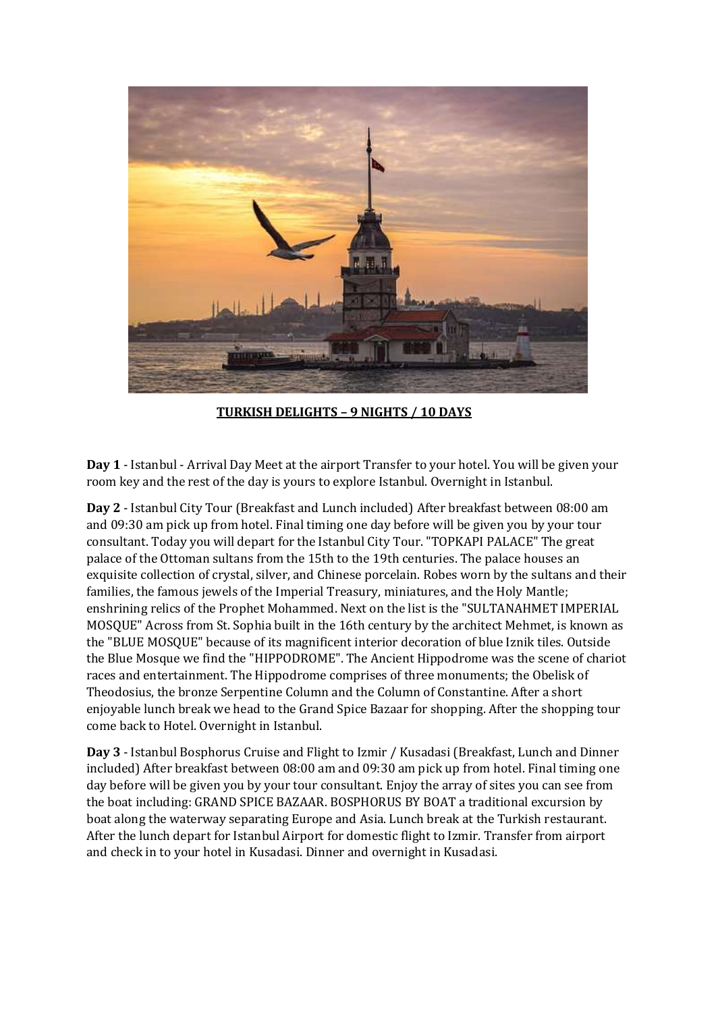

**TURKISH DELIGHTS – 9 NIGHTS / 10 DAYS** 

**Day 1** - Istanbul - Arrival Day Meet at the airport Transfer to your hotel. You will be given your room key and the rest of the day is yours to explore Istanbul. Overnight in Istanbul.

**Day 2** - Istanbul City Tour (Breakfast and Lunch included) After breakfast between 08:00 am and 09:30 am pick up from hotel. Final timing one day before will be given you by your tour consultant. Today you will depart for the Istanbul City Tour. "TOPKAPI PALACE" The great palace of the Ottoman sultans from the 15th to the 19th centuries. The palace houses an exquisite collection of crystal, silver, and Chinese porcelain. Robes worn by the sultans and their families, the famous jewels of the Imperial Treasury, miniatures, and the Holy Mantle; enshrining relics of the Prophet Mohammed. Next on the list is the "SULTANAHMET IMPERIAL MOSQUE" Across from St. Sophia built in the 16th century by the architect Mehmet, is known as the "BLUE MOSQUE" because of its magnificent interior decoration of blue Iznik tiles. Outside the Blue Mosque we find the "HIPPODROME". The Ancient Hippodrome was the scene of chariot races and entertainment. The Hippodrome comprises of three monuments; the Obelisk of Theodosius, the bronze Serpentine Column and the Column of Constantine. After a short enjoyable lunch break we head to the Grand Spice Bazaar for shopping. After the shopping tour come back to Hotel. Overnight in Istanbul.

**Day 3** - Istanbul Bosphorus Cruise and Flight to Izmir / Kusadasi (Breakfast, Lunch and Dinner included) After breakfast between 08:00 am and 09:30 am pick up from hotel. Final timing one day before will be given you by your tour consultant. Enjoy the array of sites you can see from the boat including: GRAND SPICE BAZAAR. BOSPHORUS BY BOAT a traditional excursion by boat along the waterway separating Europe and Asia. Lunch break at the Turkish restaurant. After the lunch depart for Istanbul Airport for domestic flight to Izmir. Transfer from airport and check in to your hotel in Kusadasi. Dinner and overnight in Kusadasi.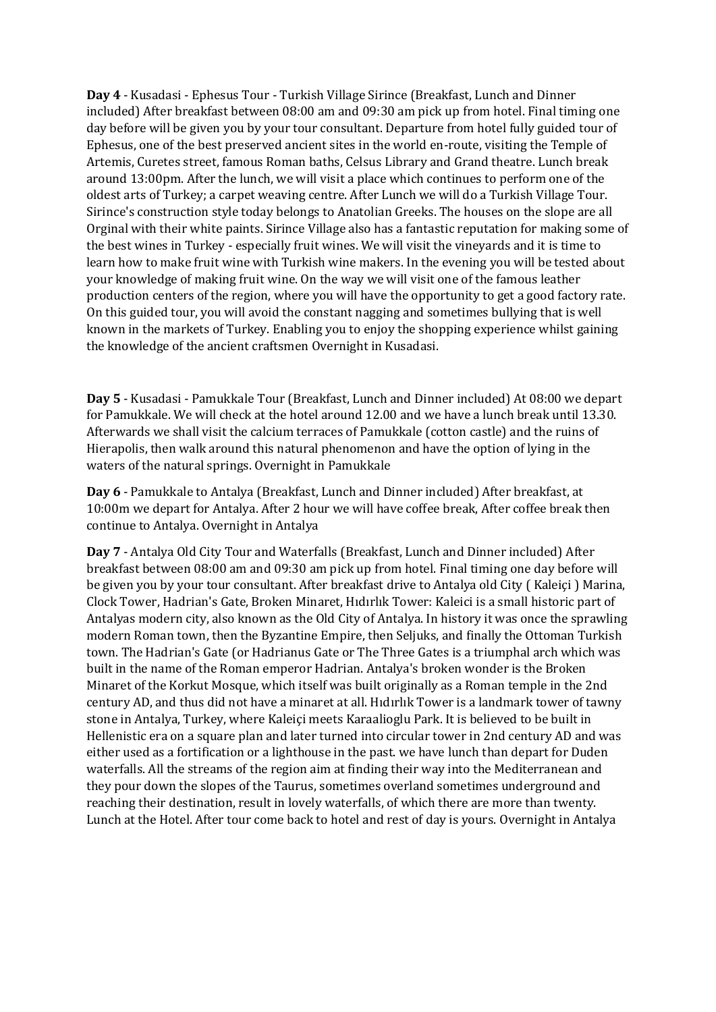**Day 4** - Kusadasi - Ephesus Tour - Turkish Village Sirince (Breakfast, Lunch and Dinner included) After breakfast between 08:00 am and 09:30 am pick up from hotel. Final timing one day before will be given you by your tour consultant. Departure from hotel fully guided tour of Ephesus, one of the best preserved ancient sites in the world en-route, visiting the Temple of Artemis, Curetes street, famous Roman baths, Celsus Library and Grand theatre. Lunch break around 13:00pm. After the lunch, we will visit a place which continues to perform one of the oldest arts of Turkey; a carpet weaving centre. After Lunch we will do a Turkish Village Tour. Sirince's construction style today belongs to Anatolian Greeks. The houses on the slope are all Orginal with their white paints. Sirince Village also has a fantastic reputation for making some of the best wines in Turkey - especially fruit wines. We will visit the vineyards and it is time to learn how to make fruit wine with Turkish wine makers. In the evening you will be tested about your knowledge of making fruit wine. On the way we will visit one of the famous leather production centers of the region, where you will have the opportunity to get a good factory rate. On this guided tour, you will avoid the constant nagging and sometimes bullying that is well known in the markets of Turkey. Enabling you to enjoy the shopping experience whilst gaining the knowledge of the ancient craftsmen Overnight in Kusadasi.

**Day 5** - Kusadasi - Pamukkale Tour (Breakfast, Lunch and Dinner included) At 08:00 we depart for Pamukkale. We will check at the hotel around 12.00 and we have a lunch break until 13.30. Afterwards we shall visit the calcium terraces of Pamukkale (cotton castle) and the ruins of Hierapolis, then walk around this natural phenomenon and have the option of lying in the waters of the natural springs. Overnight in Pamukkale

**Day 6** - Pamukkale to Antalya (Breakfast, Lunch and Dinner included) After breakfast, at 10:00m we depart for Antalya. After 2 hour we will have coffee break, After coffee break then continue to Antalya. Overnight in Antalya

**Day 7** - Antalya Old City Tour and Waterfalls (Breakfast, Lunch and Dinner included) After breakfast between 08:00 am and 09:30 am pick up from hotel. Final timing one day before will be given you by your tour consultant. After breakfast drive to Antalya old City ( Kaleiçi ) Marina, Clock Tower, Hadrian's Gate, Broken Minaret, Hıdırlık Tower: Kaleici is a small historic part of Antalyas modern city, also known as the Old City of Antalya. In history it was once the sprawling modern Roman town, then the Byzantine Empire, then Seljuks, and finally the Ottoman Turkish town. The Hadrian's Gate (or Hadrianus Gate or The Three Gates is a triumphal arch which was built in the name of the Roman emperor Hadrian. Antalya's broken wonder is the Broken Minaret of the Korkut Mosque, which itself was built originally as a Roman temple in the 2nd century AD, and thus did not have a minaret at all. Hıdırlık Tower is a landmark tower of tawny stone in Antalya, Turkey, where Kaleiçi meets Karaalioglu Park. It is believed to be built in Hellenistic era on a square plan and later turned into circular tower in 2nd century AD and was either used as a fortification or a lighthouse in the past. we have lunch than depart for Duden waterfalls. All the streams of the region aim at finding their way into the Mediterranean and they pour down the slopes of the Taurus, sometimes overland sometimes underground and reaching their destination, result in lovely waterfalls, of which there are more than twenty. Lunch at the Hotel. After tour come back to hotel and rest of day is yours. Overnight in Antalya